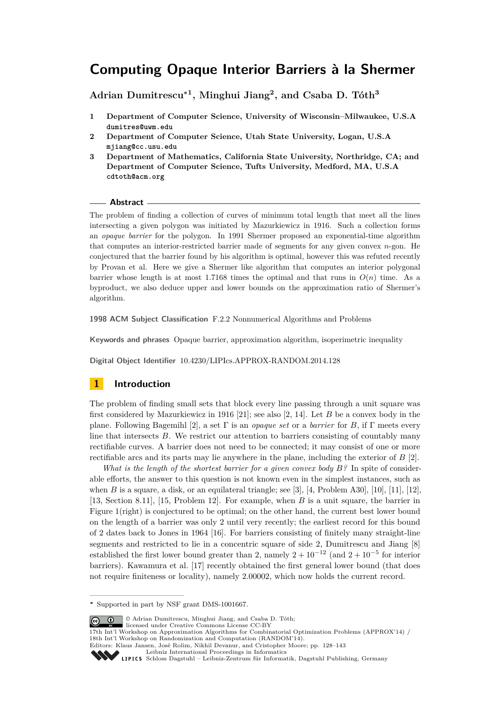**Adrian Dumitrescu<sup>∗</sup><sup>1</sup> , Minghui Jiang<sup>2</sup> , and Csaba D. Tóth<sup>3</sup>**

- **1 Department of Computer Science, University of Wisconsin–Milwaukee, U.S.A dumitres@uwm.edu**
- **2 Department of Computer Science, Utah State University, Logan, U.S.A mjiang@cc.usu.edu**
- **3 Department of Mathematics, California State University, Northridge, CA; and Department of Computer Science, Tufts University, Medford, MA, U.S.A cdtoth@acm.org**

#### **Abstract**

The problem of finding a collection of curves of minimum total length that meet all the lines intersecting a given polygon was initiated by Mazurkiewicz in 1916. Such a collection forms an *opaque barrier* for the polygon. In 1991 Shermer proposed an exponential-time algorithm that computes an interior-restricted barrier made of segments for any given convex *n*-gon. He conjectured that the barrier found by his algorithm is optimal, however this was refuted recently by Provan et al. Here we give a Shermer like algorithm that computes an interior polygonal barrier whose length is at most 1.7168 times the optimal and that runs in  $O(n)$  time. As a byproduct, we also deduce upper and lower bounds on the approximation ratio of Shermer's algorithm.

**1998 ACM Subject Classification** F.2.2 Nonnumerical Algorithms and Problems

**Keywords and phrases** Opaque barrier, approximation algorithm, isoperimetric inequality

**Digital Object Identifier** [10.4230/LIPIcs.APPROX-RANDOM.2014.128](http://dx.doi.org/10.4230/LIPIcs.APPROX-RANDOM.2014.128)

# **1 Introduction**

The problem of finding small sets that block every line passing through a unit square was first considered by Mazurkiewicz in 1916 [\[21\]](#page-15-0); see also [\[2,](#page-14-0) [14\]](#page-14-1). Let *B* be a convex body in the plane. Following Bagemihl [\[2\]](#page-14-0), a set Γ is an *opaque set* or a *barrier* for *B*, if Γ meets every line that intersects *B*. We restrict our attention to barriers consisting of countably many rectifiable curves. A barrier does not need to be connected; it may consist of one or more rectifiable arcs and its parts may lie anywhere in the plane, including the exterior of *B* [\[2\]](#page-14-0).

*What is the length of the shortest barrier for a given convex body B?* In spite of considerable efforts, the answer to this question is not known even in the simplest instances, such as when *B* is a square, a disk, or an equilateral triangle; see [\[3\]](#page-14-2), [\[4,](#page-14-3) Problem A30], [\[10\]](#page-14-4), [\[11\]](#page-14-5), [\[12\]](#page-14-6), [\[13,](#page-14-7) Section 8.11], [\[15,](#page-14-8) Problem 12]. For example, when *B* is a unit square, the barrier in Figure [1\(](#page-1-0)right) is conjectured to be optimal; on the other hand, the current best lower bound on the length of a barrier was only 2 until very recently; the earliest record for this bound of 2 dates back to Jones in 1964 [\[16\]](#page-14-9). For barriers consisting of finitely many straight-line segments and restricted to lie in a concentric square of side 2, Dumitrescu and Jiang [\[8\]](#page-14-10) established the first lower bound greater than 2, namely  $2 + 10^{-12}$  (and  $2 + 10^{-5}$  for interior barriers). Kawamura et al. [\[17\]](#page-14-11) recently obtained the first general lower bound (that does not require finiteness or locality), namely 2*.*00002, which now holds the current record.

© Adrian Dumitrescu, Minghui Jiang, and Csaba D. Tóth;  $\boxed{6}$   $\boxed{0}$ 

licensed under Creative Commons License CC-BY

[Schloss Dagstuhl – Leibniz-Zentrum für Informatik, Dagstuhl Publishing, Germany](http://www.dagstuhl.de)



**<sup>∗</sup>** Supported in part by NSF grant DMS-1001667.

<sup>17</sup>th Int'l Workshop on Approximation Algorithms for Combinatorial Optimization Problems (APPROX'14) / 18th Int'l Workshop on Randomization and Computation (RANDOM'14).

Editors: Klaus Jansen, José Rolim, Nikhil Devanur, and Cristopher Moore; pp. 128[–143](#page-15-1)

[Leibniz International Proceedings in Informatics](http://www.dagstuhl.de/lipics/)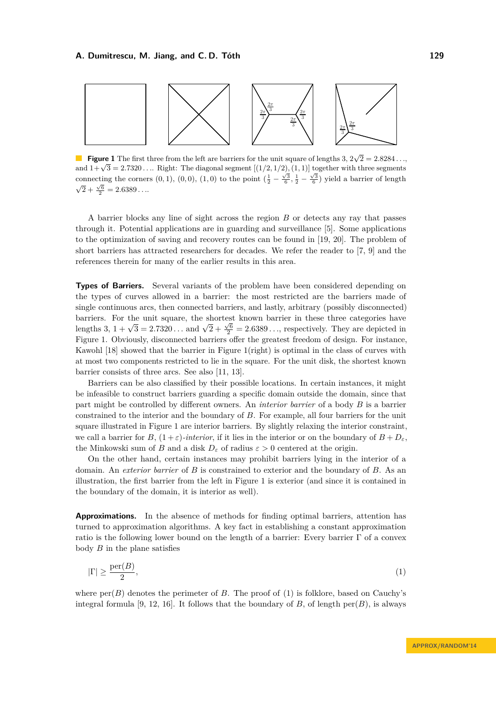<span id="page-1-0"></span>

**Figure 1** The first three from the left are barriers for the unit square of lengths 3,  $2\sqrt{2} = 2.8284...$ **and 1+** $\sqrt{3} = 2.7320...$  Right: The diagonal segment  $[(1/2, 1/2), (1, 1)]$  together with three segments connecting the corners  $(0, 1)$ ,  $(0, 0)$ ,  $(1, 0)$  to the point  $(\frac{1}{2} - \frac{\sqrt{3}}{6}, \frac{1}{2} - \frac{\sqrt{3}}{6})$  yield a barrier of length  $\overline{2} + \frac{\sqrt{6}}{2} = 2.6389...$ 

A barrier blocks any line of sight across the region *B* or detects any ray that passes through it. Potential applications are in guarding and surveillance [\[5\]](#page-14-12). Some applications to the optimization of saving and recovery routes can be found in [\[19,](#page-14-13) [20\]](#page-14-14). The problem of short barriers has attracted researchers for decades. We refer the reader to [\[7,](#page-14-15) [9\]](#page-14-16) and the references therein for many of the earlier results in this area.

**Types of Barriers.** Several variants of the problem have been considered depending on the types of curves allowed in a barrier: the most restricted are the barriers made of single continuous arcs, then connected barriers, and lastly, arbitrary (possibly disconnected) barriers. For the unit square, the shortest known barrier in these three categories have lengths 3,  $1 + \sqrt{3} = 2.7320...$  and  $\sqrt{2} + \frac{\sqrt{6}}{2} = 2.6389...,$  respectively. They are depicted in Figure [1.](#page-1-0) Obviously, disconnected barriers offer the greatest freedom of design. For instance, Kawohl [\[18\]](#page-14-17) showed that the barrier in Figure [1\(](#page-1-0)right) is optimal in the class of curves with at most two components restricted to lie in the square. For the unit disk, the shortest known barrier consists of three arcs. See also [\[11,](#page-14-5) [13\]](#page-14-7).

Barriers can be also classified by their possible locations. In certain instances, it might be infeasible to construct barriers guarding a specific domain outside the domain, since that part might be controlled by different owners. An *interior barrier* of a body *B* is a barrier constrained to the interior and the boundary of *B*. For example, all four barriers for the unit square illustrated in Figure [1](#page-1-0) are interior barriers. By slightly relaxing the interior constraint, we call a barrier for  $B$ ,  $(1+\varepsilon)$ *-interior*, if it lies in the interior or on the boundary of  $B+D_{\varepsilon}$ , the Minkowski sum of *B* and a disk  $D_{\varepsilon}$  of radius  $\varepsilon > 0$  centered at the origin.

On the other hand, certain instances may prohibit barriers lying in the interior of a domain. An *exterior barrier* of *B* is constrained to exterior and the boundary of *B*. As an illustration, the first barrier from the left in Figure [1](#page-1-0) is exterior (and since it is contained in the boundary of the domain, it is interior as well).

**Approximations.** In the absence of methods for finding optimal barriers, attention has turned to approximation algorithms. A key fact in establishing a constant approximation ratio is the following lower bound on the length of a barrier: Every barrier  $\Gamma$  of a convex body *B* in the plane satisfies

<span id="page-1-1"></span>
$$
|\Gamma| \ge \frac{\text{per}(B)}{2},\tag{1}
$$

where  $\text{per}(B)$  denotes the perimeter of *B*. The proof of [\(1\)](#page-1-1) is folklore, based on Cauchy's integral formula [\[9,](#page-14-16) [12,](#page-14-6) [16\]](#page-14-9). It follows that the boundary of *B*, of length per(*B*), is always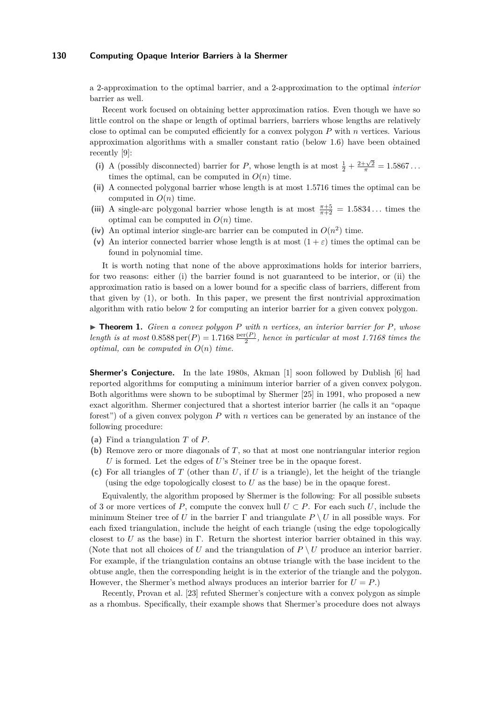a 2-approximation to the optimal barrier, and a 2-approximation to the optimal *interior* barrier as well.

Recent work focused on obtaining better approximation ratios. Even though we have so little control on the shape or length of optimal barriers, barriers whose lengths are relatively close to optimal can be computed efficiently for a convex polygon *P* with *n* vertices. Various approximation algorithms with a smaller constant ratio (below 1*.*6) have been obtained recently [\[9\]](#page-14-16):

- (i) A (possibly disconnected) barrier for *P*, whose length is at most  $\frac{1}{2} + \frac{2+\sqrt{2}}{\pi} = 1.5867...$ times the optimal, can be computed in  $O(n)$  time.
- **(ii)** A connected polygonal barrier whose length is at most 1*.*5716 times the optimal can be computed in  $O(n)$  time.
- (iii) A single-arc polygonal barrier whose length is at most  $\frac{\pi+5}{\pi+2} = 1.5834...$  times the optimal can be computed in  $O(n)$  time.
- (iv) An optimal interior single-arc barrier can be computed in  $O(n^2)$  time.
- (v) An interior connected barrier whose length is at most  $(1 + \varepsilon)$  times the optimal can be found in polynomial time.

It is worth noting that none of the above approximations holds for interior barriers, for two reasons: either (i) the barrier found is not guaranteed to be interior, or (ii) the approximation ratio is based on a lower bound for a specific class of barriers, different from that given by [\(1\)](#page-1-1), or both. In this paper, we present the first nontrivial approximation algorithm with ratio below 2 for computing an interior barrier for a given convex polygon.

<span id="page-2-0"></span>I **Theorem 1.** *Given a convex polygon P with n vertices, an interior barrier for P, whose*  $length$  is at most  $0.8588 \text{ per}(P) = 1.7168 \frac{\text{per}(P)}{2}$ , hence in particular at most 1.7168 times the *optimal, can be computed in O*(*n*) *time.*

**Shermer's Conjecture.** In the late 1980s, Akman [\[1\]](#page-14-18) soon followed by Dublish [\[6\]](#page-14-19) had reported algorithms for computing a minimum interior barrier of a given convex polygon. Both algorithms were shown to be suboptimal by Shermer [\[25\]](#page-15-2) in 1991, who proposed a new exact algorithm. Shermer conjectured that a shortest interior barrier (he calls it an "opaque forest") of a given convex polygon *P* with *n* vertices can be generated by an instance of the following procedure:

- **(a)** Find a triangulation *T* of *P*.
- **(b)** Remove zero or more diagonals of *T*, so that at most one nontriangular interior region *U* is formed. Let the edges of *U*'s Steiner tree be in the opaque forest.
- **(c)** For all triangles of *T* (other than *U*, if *U* is a triangle), let the height of the triangle (using the edge topologically closest to *U* as the base) be in the opaque forest.

Equivalently, the algorithm proposed by Shermer is the following: For all possible subsets of 3 or more vertices of *P*, compute the convex hull  $U \subset P$ . For each such *U*, include the minimum Steiner tree of *U* in the barrier  $\Gamma$  and triangulate  $P \setminus U$  in all possible ways. For each fixed triangulation, include the height of each triangle (using the edge topologically closest to *U* as the base) in Γ. Return the shortest interior barrier obtained in this way. (Note that not all choices of *U* and the triangulation of  $P \setminus U$  produce an interior barrier. For example, if the triangulation contains an obtuse triangle with the base incident to the obtuse angle, then the corresponding height is in the exterior of the triangle and the polygon. However, the Shermer's method always produces an interior barrier for  $U = P$ .

Recently, Provan et al. [\[23\]](#page-15-3) refuted Shermer's conjecture with a convex polygon as simple as a rhombus. Specifically, their example shows that Shermer's procedure does not always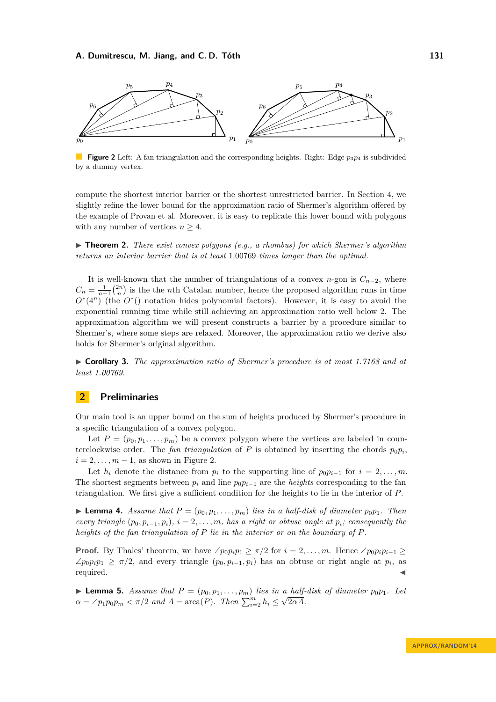<span id="page-3-0"></span>

**Figure 2** Left: A fan triangulation and the corresponding heights. Right: Edge  $p_3p_4$  is subdivided by a dummy vertex.

compute the shortest interior barrier or the shortest unrestricted barrier. In Section [4,](#page-12-0) we slightly refine the lower bound for the approximation ratio of Shermer's algorithm offered by the example of Provan et al. Moreover, it is easy to replicate this lower bound with polygons with any number of vertices  $n \geq 4$ .

<span id="page-3-3"></span>▶ **Theorem 2.** *There exist convex polygons (e.g., a rhombus) for which Shermer's algorithm returns an interior barrier that is at least* 1*.*00769 *times longer than the optimal.*

It is well-known that the number of triangulations of a convex *n*-gon is  $C_{n-2}$ , where  $C_n = \frac{1}{n+1} \binom{2n}{n}$  is the the *n*th Catalan number, hence the proposed algorithm runs in time *O*<sup>∗</sup>(4<sup>*n*</sup>) (the *O*<sup>∗</sup>() notation hides polynomial factors). However, it is easy to avoid the exponential running time while still achieving an approximation ratio well below 2. The approximation algorithm we will present constructs a barrier by a procedure similar to Shermer's, where some steps are relaxed. Moreover, the approximation ratio we derive also holds for Shermer's original algorithm.

I **Corollary 3.** *The approximation ratio of Shermer's procedure is at most 1.7168 and at least 1.00769.*

# **2 Preliminaries**

Our main tool is an upper bound on the sum of heights produced by Shermer's procedure in a specific triangulation of a convex polygon.

Let  $P = (p_0, p_1, \ldots, p_m)$  be a convex polygon where the vertices are labeled in counterclockwise order. The *fan triangulation* of  $P$  is obtained by inserting the chords  $p_0p_i$ ,  $i = 2, \ldots, m - 1$ , as shown in Figure [2.](#page-3-0)

Let  $h_i$  denote the distance from  $p_i$  to the supporting line of  $p_0p_{i-1}$  for  $i = 2, \ldots, m$ . The shortest segments between  $p_i$  and line  $p_0p_{i-1}$  are the *heights* corresponding to the fan triangulation. We first give a sufficient condition for the heights to lie in the interior of *P*.

<span id="page-3-2"></span>**Example 4.** Assume that  $P = (p_0, p_1, \ldots, p_m)$  lies in a half-disk of diameter  $p_0p_1$ . Then *every triangle*  $(p_0, p_{i-1}, p_i)$ *,*  $i = 2, \ldots, m$ *, has a right or obtuse angle at*  $p_i$ *; consequently the heights of the fan triangulation of P lie in the interior or on the boundary of P.*

**Proof.** By Thales' theorem, we have  $\angle p_0 p_i p_1 \ge \pi/2$  for  $i = 2, \ldots, m$ . Hence  $\angle p_0 p_i p_{i-1} \ge$  $\angle p_0 p_i p_1 \geq \pi/2$ , and every triangle  $(p_0, p_{i-1}, p_i)$  has an obtuse or right angle at  $p_i$ , as  $\blacksquare$ required.

<span id="page-3-1"></span>▶ **Lemma 5.** *Assume that*  $P = (p_0, p_1, \ldots, p_m)$  *lies in a half-disk of diameter*  $p_0p_1$ *. Let*  $\alpha = \angle p_1 p_0 p_m < \pi/2$  *and*  $A = \text{area}(P)$ *. Then*  $\sum_{i=2}^m h_i \leq \sqrt{2\alpha A}$ *.*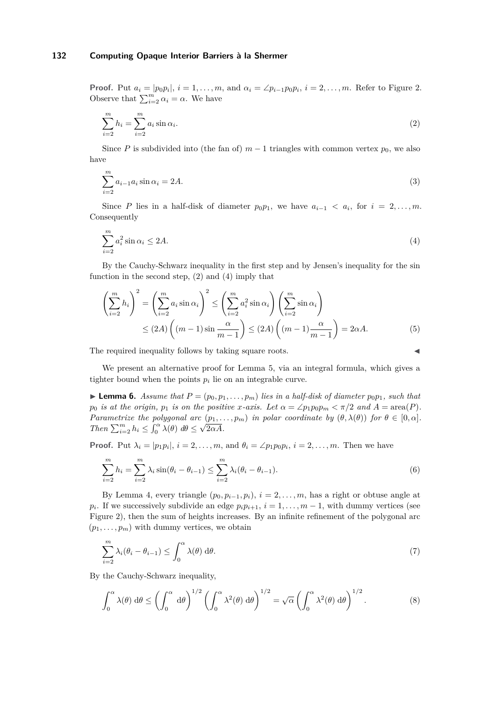**Proof.** Put  $a_i = |p_0p_i|$ ,  $i = 1, \ldots, m$ , and  $\alpha_i = \angle p_{i-1}p_0p_i$ ,  $i = 2, \ldots, m$ . Refer to Figure [2.](#page-3-0) Observe that  $\sum_{i=2}^{m} \alpha_i = \alpha$ . We have

<span id="page-4-0"></span>
$$
\sum_{i=2}^{m} h_i = \sum_{i=2}^{m} a_i \sin \alpha_i.
$$
 (2)

Since *P* is subdivided into (the fan of)  $m-1$  triangles with common vertex  $p_0$ , we also have

$$
\sum_{i=2}^{m} a_{i-1} a_i \sin \alpha_i = 2A. \tag{3}
$$

Since *P* lies in a half-disk of diameter  $p_0p_1$ , we have  $a_{i-1} < a_i$ , for  $i = 2, \ldots, m$ . Consequently

<span id="page-4-1"></span>
$$
\sum_{i=2}^{m} a_i^2 \sin \alpha_i \le 2A. \tag{4}
$$

By the Cauchy-Schwarz inequality in the first step and by Jensen's inequality for the sin function in the second step,  $(2)$  and  $(4)$  imply that

$$
\left(\sum_{i=2}^{m} h_i\right)^2 = \left(\sum_{i=2}^{m} a_i \sin \alpha_i\right)^2 \le \left(\sum_{i=2}^{m} a_i^2 \sin \alpha_i\right) \left(\sum_{i=2}^{m} \sin \alpha_i\right)
$$
  
 
$$
\le (2A) \left((m-1)\sin \frac{\alpha}{m-1}\right) \le (2A) \left((m-1)\frac{\alpha}{m-1}\right) = 2\alpha A.
$$
 (5)

The required inequality follows by taking square roots.

We present an alternative proof for Lemma [5,](#page-3-1) via an integral formula, which gives a tighter bound when the points  $p_i$  lie on an integrable curve.

<span id="page-4-3"></span>**Lemma 6.** Assume that  $P = (p_0, p_1, \ldots, p_m)$  lies in a half-disk of diameter  $p_0p_1$ , such that *p*<sub>0</sub> *is at the origin, p*<sub>1</sub> *is on the positive x-axis. Let*  $\alpha = \angle p_1 p_0 p_m < \pi/2$  *and*  $A = \text{area}(P)$ *. Parametrize the polygonal arc*  $(p_1, \ldots, p_m)$  *in polar coordinate by*  $(\theta, \lambda(\theta))$  *for*  $\theta \in [0, \alpha]$ *. Then*  $\sum_{i=2}^{m} h_i \leq \int_0^{\alpha} \lambda(\theta) d\theta \leq \sqrt{2\alpha A}$ .

**Proof.** Put  $\lambda_i = |p_1p_i|, i = 2, \ldots, m$ , and  $\theta_i = \angle p_1p_0p_i, i = 2, \ldots, m$ . Then we have

$$
\sum_{i=2}^{m} h_i = \sum_{i=2}^{m} \lambda_i \sin(\theta_i - \theta_{i-1}) \le \sum_{i=2}^{m} \lambda_i (\theta_i - \theta_{i-1}).
$$
\n(6)

By Lemma [4,](#page-3-2) every triangle  $(p_0, p_{i-1}, p_i)$ ,  $i = 2, \ldots, m$ , has a right or obtuse angle at  $p_i$ . If we successively subdivide an edge  $p_i p_{i+1}$ ,  $i = 1, \ldots, m-1$ , with dummy vertices (see Figure [2\)](#page-3-0), then the sum of heights increases. By an infinite refinement of the polygonal arc  $(p_1, \ldots, p_m)$  with dummy vertices, we obtain

$$
\sum_{i=2}^{m} \lambda_i (\theta_i - \theta_{i-1}) \le \int_0^{\alpha} \lambda(\theta) \, d\theta. \tag{7}
$$

By the Cauchy-Schwarz inequality,

<span id="page-4-2"></span>
$$
\int_0^\alpha \lambda(\theta) \, d\theta \le \left(\int_0^\alpha \, d\theta\right)^{1/2} \left(\int_0^\alpha \lambda^2(\theta) \, d\theta\right)^{1/2} = \sqrt{\alpha} \left(\int_0^\alpha \lambda^2(\theta) \, d\theta\right)^{1/2}.\tag{8}
$$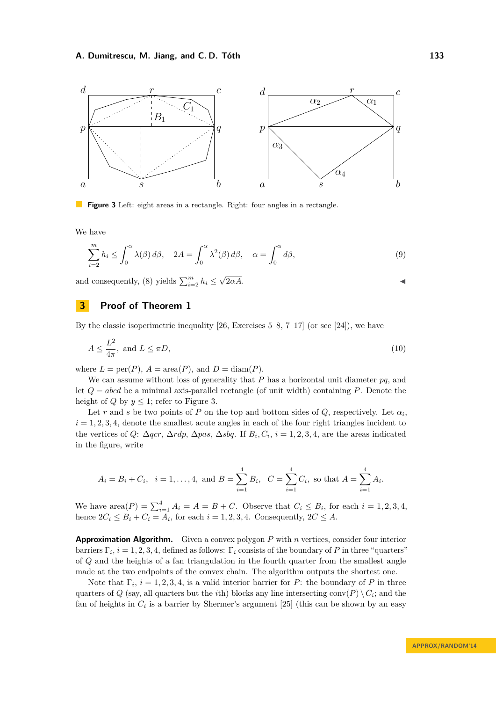<span id="page-5-0"></span>

**Figure 3** Left: eight areas in a rectangle. Right: four angles in a rectangle.

We have

<span id="page-5-2"></span>
$$
\sum_{i=2}^{m} h_i \le \int_0^{\alpha} \lambda(\beta) d\beta, \quad 2A = \int_0^{\alpha} \lambda^2(\beta) d\beta, \quad \alpha = \int_0^{\alpha} d\beta,
$$
\n(9)

and consequently, [\(8\)](#page-4-2) yields  $\sum_{i=2}^{m} h_i \leq$  $\sqrt{2\alpha A}$ .

# **3 Proof of Theorem [1](#page-2-0)**

By the classic isoperimetric inequality  $[26,$  Exercises  $5-8, 7-17$  (or see  $[24]$ ), we have

<span id="page-5-1"></span>
$$
A \le \frac{L^2}{4\pi}, \text{ and } L \le \pi D,\tag{10}
$$

where  $L = \text{per}(P)$ ,  $A = \text{area}(P)$ , and  $D = \text{diam}(P)$ .

We can assume without loss of generality that *P* has a horizontal unit diameter *pq*, and let *Q* = *abcd* be a minimal axis-parallel rectangle (of unit width) containing *P*. Denote the height of *Q* by  $y \leq 1$ ; refer to Figure [3.](#page-5-0)

Let *r* and *s* be two points of *P* on the top and bottom sides of *Q*, respectively. Let  $\alpha_i$ ,  $i = 1, 2, 3, 4$ , denote the smallest acute angles in each of the four right triangles incident to the vertices of *Q*:  $\Delta qcr$ ,  $\Delta rdp$ ,  $\Delta pas$ ,  $\Delta sbq$ . If  $B_i, C_i, i = 1, 2, 3, 4$ , are the areas indicated in the figure, write

$$
A_i = B_i + C_i
$$
,  $i = 1,..., 4$ , and  $B = \sum_{i=1}^{4} B_i$ ,  $C = \sum_{i=1}^{4} C_i$ , so that  $A = \sum_{i=1}^{4} A_i$ .

We have  $\text{area}(P) = \sum_{i=1}^{4} A_i = A = B + C$ . Observe that  $C_i \leq B_i$ , for each  $i = 1, 2, 3, 4$ , hence  $2C_i \leq B_i + C_i = A_i$ , for each  $i = 1, 2, 3, 4$ . Consequently,  $2C \leq A$ .

**Approximation Algorithm.** Given a convex polygon *P* with *n* vertices, consider four interior barriers  $\Gamma_i$ ,  $i = 1, 2, 3, 4$ , defined as follows:  $\Gamma_i$  consists of the boundary of *P* in three "quarters" of *Q* and the heights of a fan triangulation in the fourth quarter from the smallest angle made at the two endpoints of the convex chain. The algorithm outputs the shortest one.

Note that  $\Gamma_i$ ,  $i = 1, 2, 3, 4$ , is a valid interior barrier for *P*: the boundary of *P* in three quarters of  $Q$  (say, all quarters but the *i*th) blocks any line intersecting conv $(P) \setminus C_i$ ; and the fan of heights in  $C_i$  is a barrier by Shermer's argument [\[25\]](#page-15-2) (this can be shown by an easy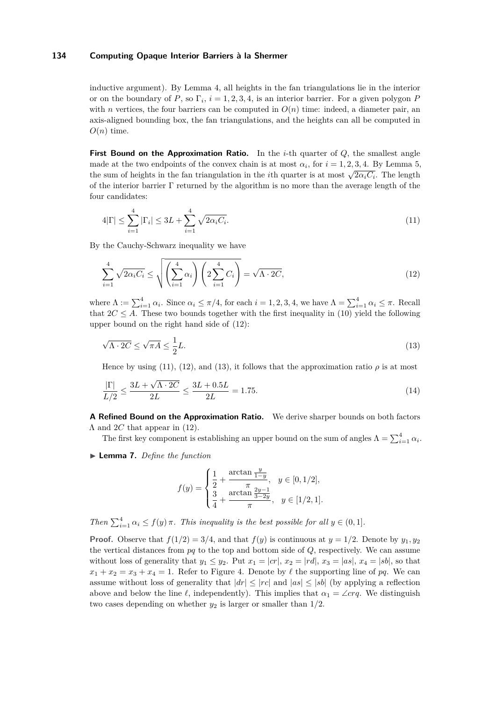inductive argument). By Lemma [4,](#page-3-2) all heights in the fan triangulations lie in the interior or on the boundary of *P*, so  $\Gamma_i$ ,  $i = 1, 2, 3, 4$ , is an interior barrier. For a given polygon *P* with *n* vertices, the four barriers can be computed in  $O(n)$  time: indeed, a diameter pair, an axis-aligned bounding box, the fan triangulations, and the heights can all be computed in  $O(n)$  time.

**First Bound on the Approximation Ratio.** In the *i*-th quarter of  $Q$ , the smallest angle made at the two endpoints of the convex chain is at most  $\alpha_i$ , for  $i = 1, 2, 3, 4$ . By Lemma [5,](#page-3-1) the sum of heights in the fan triangulation in the *i*th quarter is at most  $\sqrt{2\alpha_i C_i}$ . The length of the interior barrier  $\Gamma$  returned by the algorithm is no more than the average length of the four candidates:

<span id="page-6-1"></span>
$$
4|\Gamma| \le \sum_{i=1}^{4} |\Gamma_i| \le 3L + \sum_{i=1}^{4} \sqrt{2\alpha_i C_i}.
$$
\n(11)

By the Cauchy-Schwarz inequality we have

<span id="page-6-0"></span>
$$
\sum_{i=1}^{4} \sqrt{2\alpha_i C_i} \le \sqrt{\left(\sum_{i=1}^{4} \alpha_i\right) \left(2\sum_{i=1}^{4} C_i\right)} = \sqrt{\Lambda \cdot 2C},\tag{12}
$$

where  $\Lambda := \sum_{i=1}^{4} \alpha_i$ . Since  $\alpha_i \le \pi/4$ , for each  $i = 1, 2, 3, 4$ , we have  $\Lambda = \sum_{i=1}^{4} \alpha_i \le \pi$ . Recall that  $2C \leq A$ . These two bounds together with the first inequality in [\(10\)](#page-5-1) yield the following upper bound on the right hand side of [\(12\)](#page-6-0):

<span id="page-6-2"></span>
$$
\sqrt{\Lambda \cdot 2C} \le \sqrt{\pi A} \le \frac{1}{2}L. \tag{13}
$$

Hence by using [\(11\)](#page-6-1), [\(12\)](#page-6-0), and [\(13\)](#page-6-2), it follows that the approximation ratio  $\rho$  is at most

$$
\frac{|\Gamma|}{L/2} \le \frac{3L + \sqrt{\Lambda \cdot 2C}}{2L} \le \frac{3L + 0.5L}{2L} = 1.75. \tag{14}
$$

**A Refined Bound on the Approximation Ratio.** We derive sharper bounds on both factors Λ and 2*C* that appear in [\(12\)](#page-6-0).

The first key component is establishing an upper bound on the sum of angles  $\Lambda = \sum_{i=1}^{4} \alpha_i$ .

<span id="page-6-3"></span>▶ **Lemma 7.** *Define the function* 

<span id="page-6-4"></span>
$$
f(y) = \begin{cases} \frac{1}{2} + \frac{\arctan \frac{y}{1-y}}{\pi}, & y \in [0, 1/2], \\ \frac{3}{4} + \frac{\arctan \frac{2y-1}{3-2y}}{\pi}, & y \in [1/2, 1]. \end{cases}
$$

*Then*  $\sum_{i=1}^{4} \alpha_i \leq f(y) \pi$ *. This inequality is the best possible for all*  $y \in (0,1]$ *.* 

**Proof.** Observe that  $f(1/2) = 3/4$ , and that  $f(y)$  is continuous at  $y = 1/2$ . Denote by  $y_1, y_2$ the vertical distances from *pq* to the top and bottom side of *Q*, respectively. We can assume without loss of generality that  $y_1 \leq y_2$ . Put  $x_1 = |cr|, x_2 = |rd|, x_3 = |as|, x_4 = |sb|$ , so that  $x_1 + x_2 = x_3 + x_4 = 1$ . Refer to Figure [4.](#page-7-0) Denote by  $\ell$  the supporting line of pq. We can assume without loss of generality that  $|dr| \leq |rc|$  and  $|as| \leq |sb|$  (by applying a reflection above and below the line  $\ell$ , independently). This implies that  $\alpha_1 = \angle crq$ . We distinguish two cases depending on whether  $y_2$  is larger or smaller than  $1/2$ .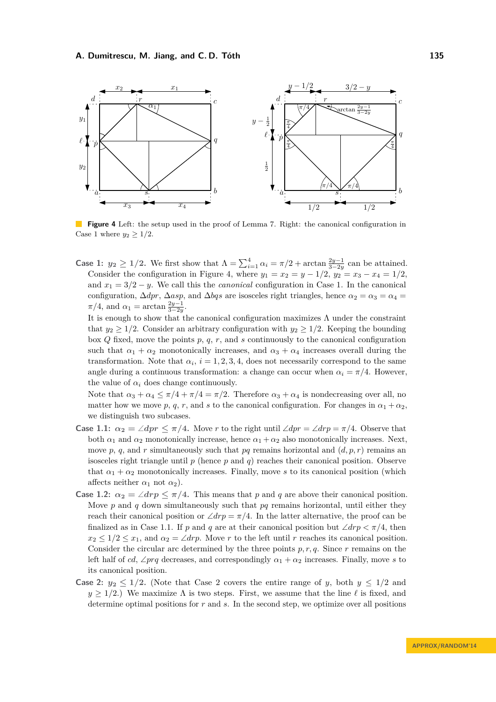<span id="page-7-0"></span>

**Figure 4** Left: the setup used in the proof of Lemma [7.](#page-6-3) Right: the canonical configuration in Case 1 where  $y_2 > 1/2$ .

**Case 1:**  $y_2 \ge 1/2$ . We first show that  $\Lambda = \sum_{i=1}^4 \alpha_i = \pi/2 + \arctan \frac{2y-1}{3-2y}$  can be attained. Consider the configuration in Figure [4,](#page-7-0) where  $y_1 = x_2 = y - 1/2$ ,  $y_2 = x_3 - x_4 = 1/2$ , and  $x_1 = 3/2 - y$ . We call this the *canonical* configuration in Case 1. In the canonical configuration,  $\Delta dpr$ ,  $\Delta asp$ , and  $\Delta bgs$  are isosceles right triangles, hence  $\alpha_2 = \alpha_3 = \alpha_4 =$  $\pi/4$ , and  $\alpha_1 = \arctan \frac{2y-1}{3-2y}$ .

It is enough to show that the canonical configuration maximizes  $\Lambda$  under the constraint that  $y_2 \geq 1/2$ . Consider an arbitrary configuration with  $y_2 \geq 1/2$ . Keeping the bounding box *Q* fixed, move the points *p*, *q*, *r*, and *s* continuously to the canonical configuration such that  $\alpha_1 + \alpha_2$  monotonically increases, and  $\alpha_3 + \alpha_4$  increases overall during the transformation. Note that  $\alpha_i$ ,  $i = 1, 2, 3, 4$ , does not necessarily correspond to the same angle during a continuous transformation: a change can occur when  $\alpha_i = \pi/4$ . However, the value of  $\alpha_i$  does change continuously.

Note that  $\alpha_3 + \alpha_4 \leq \pi/4 + \pi/4 = \pi/2$ . Therefore  $\alpha_3 + \alpha_4$  is nondecreasing over all, no matter how we move *p*, *q*, *r*, and *s* to the canonical configuration. For changes in  $\alpha_1 + \alpha_2$ . we distinguish two subcases.

- **Case 1.1:**  $\alpha_2 = \angle dpr \leq \pi/4$ . Move *r* to the right until  $\angle dpr = \angle drp = \pi/4$ . Observe that both  $\alpha_1$  and  $\alpha_2$  monotonically increase, hence  $\alpha_1 + \alpha_2$  also monotonically increases. Next, move  $p, q$ , and  $r$  simultaneously such that  $pq$  remains horizontal and  $(d, p, r)$  remains an isosceles right triangle until *p* (hence *p* and *q*) reaches their canonical position. Observe that  $\alpha_1 + \alpha_2$  monotonically increases. Finally, move *s* to its canonical position (which affects neither  $\alpha_1$  not  $\alpha_2$ ).
- **Case 1.2:**  $\alpha_2 = \angle drp \leq \pi/4$ . This means that *p* and *q* are above their canonical position. Move *p* and *q* down simultaneously such that *pq* remains horizontal, until either they reach their canonical position or  $\angle drp = \pi/4$ . In the latter alternative, the proof can be finalized as in Case 1.1. If *p* and *q* are at their canonical position but  $\angle drp < \pi/4$ , then  $x_2 \leq 1/2 \leq x_1$ , and  $\alpha_2 = \angle dr$ . Move *r* to the left until *r* reaches its canonical position. Consider the circular arc determined by the three points  $p, r, q$ . Since  $r$  remains on the left half of *cd*, ∠*prq* decreases, and correspondingly  $\alpha_1 + \alpha_2$  increases. Finally, move *s* to its canonical position.
- **Case 2:**  $y_2 \leq 1/2$ . (Note that Case 2 covers the entire range of *y*, both  $y \leq 1/2$  and  $y \geq 1/2$ .) We maximize  $\Lambda$  is two steps. First, we assume that the line  $\ell$  is fixed, and determine optimal positions for *r* and *s*. In the second step, we optimize over all positions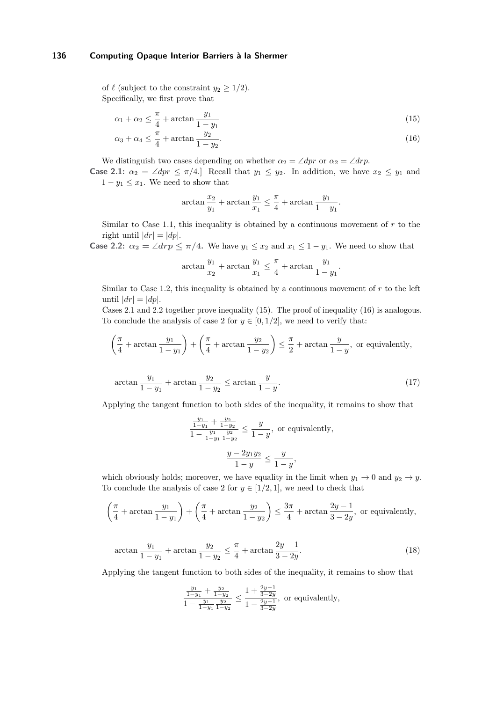of  $\ell$  (subject to the constraint  $y_2 \geq 1/2$ ). Specifically, we first prove that

$$
\alpha_1 + \alpha_2 \le \frac{\pi}{4} + \arctan \frac{y_1}{1 - y_1} \tag{15}
$$

$$
\alpha_3 + \alpha_4 \le \frac{\pi}{4} + \arctan \frac{y_2}{1 - y_2}.\tag{16}
$$

We distinguish two cases depending on whether  $\alpha_2 = \angle dpr$  or  $\alpha_2 = \angle drp$ .

**Case 2.1:**  $\alpha_2 = \angle dpr \leq \pi/4$ .] Recall that  $y_1 \leq y_2$ . In addition, we have  $x_2 \leq y_1$  and  $1 - y_1 \leq x_1$ . We need to show that

<span id="page-8-1"></span><span id="page-8-0"></span>
$$
\arctan \frac{x_2}{y_1} + \arctan \frac{y_1}{x_1} \le \frac{\pi}{4} + \arctan \frac{y_1}{1 - y_1}.
$$

Similar to Case 1.1, this inequality is obtained by a continuous movement of *r* to the right until  $|dr| = |dp|$ .

**Case 2.2:**  $\alpha_2 = \angle drp \leq \pi/4$ . We have  $y_1 \leq x_2$  and  $x_1 \leq 1 - y_1$ . We need to show that

$$
\arctan\frac{y_1}{x_2} + \arctan\frac{y_1}{x_1} \le \frac{\pi}{4} + \arctan\frac{y_1}{1-y_1}.
$$

Similar to Case 1.2, this inequality is obtained by a continuous movement of  $r$  to the left until  $|dr| = |dp|$ .

Cases 2.1 and 2.2 together prove inequality [\(15\)](#page-8-0). The proof of inequality [\(16\)](#page-8-1) is analogous. To conclude the analysis of case 2 for  $y \in [0, 1/2]$ , we need to verify that:

$$
\left(\frac{\pi}{4} + \arctan\frac{y_1}{1-y_1}\right) + \left(\frac{\pi}{4} + \arctan\frac{y_2}{1-y_2}\right) \le \frac{\pi}{2} + \arctan\frac{y}{1-y}, \text{ or equivalently,}
$$
\n
$$
\arctan\frac{y_1}{1-y_1} + \arctan\frac{y_2}{1-y_2} \le \arctan\frac{y}{1-y}.
$$
\n(17)

Applying the tangent function to both sides of the inequality, it remains to show that

$$
\frac{\frac{y_1}{1-y_1} + \frac{y_2}{1-y_2}}{1 - \frac{y_1}{1-y_1} \frac{y_2}{1-y_2}} \le \frac{y}{1-y}, \text{ or equivalently,}
$$

$$
\frac{y - 2y_1y_2}{1 - y} \le \frac{y}{1 - y},
$$

which obviously holds; moreover, we have equality in the limit when  $y_1 \to 0$  and  $y_2 \to y$ . To conclude the analysis of case 2 for  $y \in [1/2, 1]$ , we need to check that

$$
\left(\frac{\pi}{4} + \arctan\frac{y_1}{1-y_1}\right) + \left(\frac{\pi}{4} + \arctan\frac{y_2}{1-y_2}\right) \le \frac{3\pi}{4} + \arctan\frac{2y-1}{3-2y},
$$
 or equivalently,

$$
\arctan\frac{y_1}{1-y_1} + \arctan\frac{y_2}{1-y_2} \le \frac{\pi}{4} + \arctan\frac{2y-1}{3-2y}.\tag{18}
$$

Applying the tangent function to both sides of the inequality, it remains to show that

$$
\frac{\frac{y_1}{1-y_1} + \frac{y_2}{1-y_2}}{1 - \frac{y_1}{1-y_1} \frac{y_2}{1-y_2}} \le \frac{1 + \frac{2y-1}{3-2y}}{1 - \frac{2y-1}{3-2y}},
$$
 or equivalently,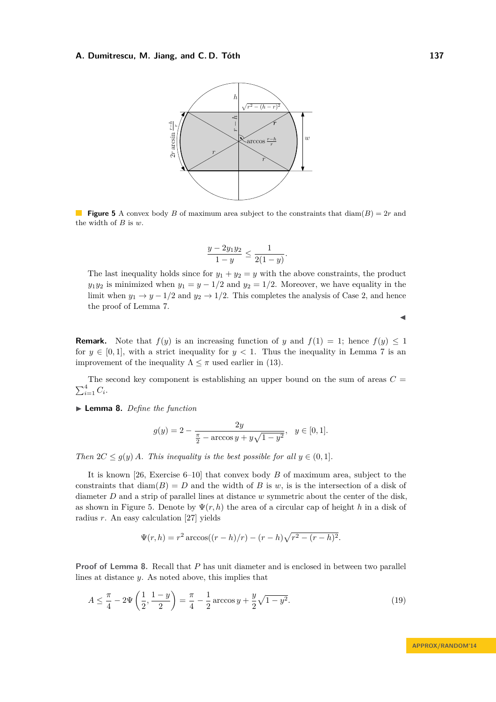<span id="page-9-0"></span>

**Figure 5** A convex body *B* of maximum area subject to the constraints that  $\text{diam}(B) = 2r$  and the width of *B* is *w*.

$$
\frac{y - 2y_1y_2}{1 - y} \le \frac{1}{2(1 - y)}.
$$

The last inequality holds since for  $y_1 + y_2 = y$  with the above constraints, the product *y*<sub>1</sub>*y*<sub>2</sub> is minimized when *y*<sub>1</sub> = *y* − 1*/*2 and *y*<sub>2</sub> = 1*/*2. Moreover, we have equality in the limit when  $y_1 \rightarrow y - 1/2$  and  $y_2 \rightarrow 1/2$ . This completes the analysis of Case 2, and hence the proof of Lemma [7.](#page-6-3)

**Remark.** Note that  $f(y)$  is an increasing function of *y* and  $f(1) = 1$ ; hence  $f(y) \le 1$ for  $y \in [0, 1]$ , with a strict inequality for  $y < 1$ . Thus the inequality in Lemma [7](#page-6-3) is an improvement of the inequality  $\Lambda \leq \pi$  used earlier in [\(13\)](#page-6-2).

The second key component is establishing an upper bound on the sum of areas  $C =$  $\sum_{i=1}^4 C_i$ .

<span id="page-9-1"></span>▶ **Lemma 8.** *Define the function* 

$$
g(y) = 2 - \frac{2y}{\frac{\pi}{2} - \arccos y + y\sqrt{1 - y^2}}, \ \ y \in [0, 1].
$$

*Then*  $2C \leq g(y)$  *A. This inequality is the best possible for all*  $y \in (0,1]$ *.* 

It is known [\[26,](#page-15-4) Exercise 6–10] that convex body *B* of maximum area, subject to the constraints that  $\text{diam}(B) = D$  and the width of *B* is *w*, is is the intersection of a disk of diameter *D* and a strip of parallel lines at distance *w* symmetric about the center of the disk, as shown in Figure [5.](#page-9-0) Denote by  $\Psi(r, h)$  the area of a circular cap of height *h* in a disk of radius *r*. An easy calculation [\[27\]](#page-15-6) yields

<span id="page-9-2"></span>
$$
\Psi(r,h) = r^2 \arccos((r-h)/r) - (r-h)\sqrt{r^2 - (r-h)^2}.
$$

**Proof of Lemma [8.](#page-9-1)** Recall that *P* has unit diameter and is enclosed in between two parallel lines at distance *y*. As noted above, this implies that

$$
A \le \frac{\pi}{4} - 2\Psi\left(\frac{1}{2}, \frac{1-y}{2}\right) = \frac{\pi}{4} - \frac{1}{2}\arccos y + \frac{y}{2}\sqrt{1-y^2}.
$$
 (19)

 $\blacktriangleleft$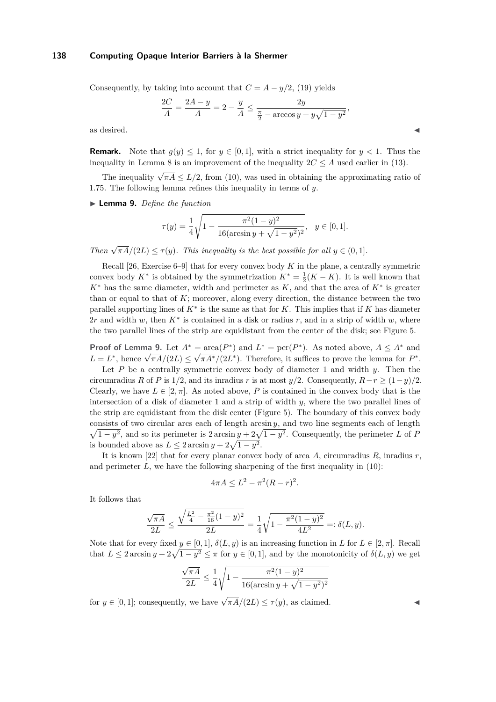Consequently, by taking into account that  $C = A - y/2$ , [\(19\)](#page-9-2) yields

$$
\frac{2C}{A} = \frac{2A - y}{A} = 2 - \frac{y}{A} \le \frac{2y}{\frac{\pi}{2} - \arccos y + y\sqrt{1 - y^2}},
$$

as desired.  $\blacksquare$ 

**Remark.** Note that  $g(y) \leq 1$ , for  $y \in [0, 1]$ , with a strict inequality for  $y < 1$ . Thus the inequality in Lemma [8](#page-9-1) is an improvement of the inequality  $2C \leq A$  used earlier in [\(13\)](#page-6-2).

The inequality  $\sqrt{\pi A} \le L/2$ , from [\(10\)](#page-5-1), was used in obtaining the approximating ratio of 1*.*75. The following lemma refines this inequality in terms of *y*.

<span id="page-10-0"></span>▶ **Lemma 9.** *Define the function* 

$$
\tau(y) = \frac{1}{4} \sqrt{1 - \frac{\pi^2 (1 - y)^2}{16(\arcsin y + \sqrt{1 - y^2})^2}}, \quad y \in [0, 1].
$$

*Then*  $\sqrt{\pi A}/(2L) \leq \tau(y)$ *. This inequality is the best possible for all*  $y \in (0,1]$ *.* 

Recall [\[26,](#page-15-4) Exercise 6–9] that for every convex body *K* in the plane, a centrally symmetric convex body  $K^*$  is obtained by the symmetrization  $K^* = \frac{1}{2}(K - K)$ . It is well known that *K*<sup>∗</sup> has the same diameter, width and perimeter as *K*, and that the area of *K*<sup>∗</sup> is greater than or equal to that of  $K$ ; moreover, along every direction, the distance between the two parallel supporting lines of *K*<sup>∗</sup> is the same as that for *K*. This implies that if *K* has diameter 2*r* and width *w*, then  $K^*$  is contained in a disk or radius *r*, and in a strip of width *w*, where the two parallel lines of the strip are equidistant from the center of the disk; see Figure [5.](#page-9-0)

**Proof of Lemma [9.](#page-10-0)** Let  $A^* = \text{area}(P^*)$  and  $L^* = \text{per}(P^*)$ . As noted above,  $A \leq A^*$  and *L* = *L*<sup>\*</sup>, hence  $\sqrt{\pi A}/(2L) \le \sqrt{\pi A^*}/(2L^*)$ . Therefore, it suffices to prove the lemma for *P*<sup>\*</sup>.

Let *P* be a centrally symmetric convex body of diameter 1 and width *y*. Then the circumradius *R* of *P* is 1/2, and its inradius *r* is at most  $y/2$ . Consequently,  $R-r \geq (1-y)/2$ . Clearly, we have  $L \in [2, \pi]$ . As noted above, P is contained in the convex body that is the intersection of a disk of diameter 1 and a strip of width *y*, where the two parallel lines of the strip are equidistant from the disk center (Figure [5\)](#page-9-0). The boundary of this convex body consists of two circular arcs each of length arcsin *y*, and two line segments each of length  $\sqrt{1-y^2}$ , and so its perimeter is  $2 \arcsin y + 2\sqrt{1-y^2}$ . Consequently, the perimeter *L* of *P* is bounded above as  $L \leq 2 \arcsin y + 2\sqrt{1 - y^2}$ .

It is known [\[22\]](#page-15-7) that for every planar convex body of area *A*, circumradius *R*, inradius *r*, and perimeter  $L$ , we have the following sharpening of the first inequality in  $(10)$ :

$$
4\pi A \le L^2 - \pi^2 (R - r)^2.
$$

It follows that

$$
\frac{\sqrt{\pi A}}{2L} \le \frac{\sqrt{\frac{L^2}{4} - \frac{\pi^2}{16}(1-y)^2}}{2L} = \frac{1}{4}\sqrt{1 - \frac{\pi^2(1-y)^2}{4L^2}} =: \delta(L, y).
$$

Note that for every fixed  $y \in [0, 1]$ ,  $\delta(L, y)$  is an increasing function in *L* for  $L \in [2, \pi]$ . Recall that  $L \leq 2 \arcsin y + 2\sqrt{1 - y^2} \leq \pi$  for  $y \in [0, 1]$ , and by the monotonicity of  $\delta(L, y)$  we get

$$
\frac{\sqrt{\pi A}}{2L} \le \frac{1}{4} \sqrt{1 - \frac{\pi^2 (1 - y)^2}{16(\arcsin y + \sqrt{1 - y^2})^2}}
$$

for  $y \in [0, 1]$ ; consequently, we have  $\sqrt{\pi A}/(2L) \leq \tau(y)$ , as claimed.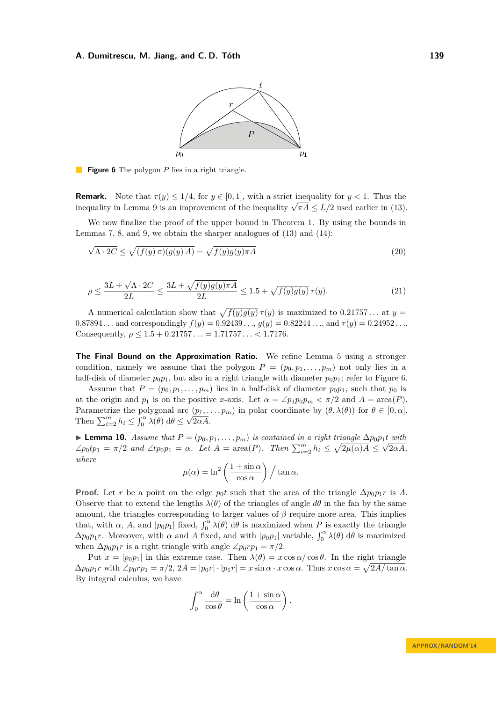

<span id="page-11-0"></span>**Figure 6** The polygon *P* lies in a right triangle. a a s

**Remark.** Note that  $\tau(y) \leq 1/4$ , for  $y \in [0, 1]$ , with a strict inequality for  $y < 1$ . Thus the **Remark.** Note that  $\tau(y) \leq 1/4$ , for  $y \in [0, 1]$ , with a strict inequality for  $y < 1$ . Thus the inequality in Lemma [9](#page-10-0) is an improvement of the inequality  $\sqrt{\pi A} \leq L/2$  used earlier in [\(13\)](#page-6-2).

We now finalize the proof of the upper bound in Theorem [1.](#page-2-0) By using the bounds in Lemmas [7,](#page-6-3) [8,](#page-9-1) and [9,](#page-10-0) we obtain the sharper analogues of  $(13)$  and  $(14)$ :

$$
\sqrt{\Lambda \cdot 2C} \le \sqrt{(f(y)\,\pi)(g(y)\,A)} = \sqrt{f(y)g(y)\pi A} \tag{20}
$$

$$
\rho \le \frac{3L + \sqrt{\Lambda \cdot 2C}}{2L} \le \frac{3L + \sqrt{f(y)g(y)\pi A}}{2L} \le 1.5 + \sqrt{f(y)g(y)}\,\tau(y). \tag{21}
$$

A numerical calculation show that  $\sqrt{f(y)g(y)} \tau(y)$  is maximized to 0.21757... at  $y =$  $0.87894...$  and correspondingly  $f(y) = 0.92439..., g(y) = 0.82244...,$  and  $\tau(y) = 0.24952...$ Consequently,  $\rho \leq 1.5 + 0.21757... = 1.71757... < 1.7176$ .

**The Final Bound on the Approximation Ratio.** We refine Lemma [5](#page-3-1) using a stronger condition, namely we assume that the polygon  $P = (p_0, p_1, \ldots, p_m)$  not only lies in a half-disk of diameter  $p_0p_1$ , but also in a right triangle with diameter  $p_0p_1$ ; refer to Figure [6.](#page-11-0)

Assume that  $P = (p_0, p_1, \ldots, p_m)$  lies in a half-disk of diameter  $p_0 p_1$ , such that  $p_0$  is at the origin and  $p_1$  is on the positive *x*-axis. Let  $\alpha = \angle p_1 p_0 p_m < \pi/2$  and  $A = \text{area}(P)$ . Parametrize the polygonal arc  $(p_1, \ldots, p_m)$  in polar coordinate by  $(\theta, \lambda(\theta))$  for  $\theta \in [0, \alpha]$ . Then  $\sum_{i=2}^{m} h_i \leq \int_0^{\alpha} \lambda(\theta) d\theta \leq \sqrt{2\alpha A}$ .

► **Lemma 10.** *Assume that*  $P = (p_0, p_1, \ldots, p_m)$  *is contained in a right triangle*  $\Delta p_0 p_1 t$  *with*  $\angle p_0 \cdot tp_1 = \pi/2$  and  $\angle tp_0p_1 = \alpha$ . Let  $A = \text{area}(P)$ . Then  $\sum_{i=2}^m h_i \leq \sqrt{2\mu(\alpha)A} \leq \sqrt{2\alpha A}$ , *where*

$$
\mu(\alpha) = \ln^2 \left( \frac{1 + \sin \alpha}{\cos \alpha} \right) / \tan \alpha.
$$

**Proof.** Let *r* be a point on the edge  $p_0 t$  such that the area of the triangle  $\Delta p_0 p_1 r$  is *A*. Observe that to extend the lengths  $\lambda(\theta)$  of the triangles of angle  $d\theta$  in the fan by the same amount, the triangles corresponding to larger values of *β* require more area. This implies that, with  $\alpha$ , *A*, and  $|p_0p_1|$  fixed,  $\int_0^{\alpha} \lambda(\theta) d\theta$  is maximized when *P* is exactly the triangle  $\Delta p_0 p_1 r$ . Moreover, with  $\alpha$  and *A* fixed, and with  $|p_0 p_1|$  variable,  $\int_0^{\alpha} \lambda(\theta) d\theta$  is maximized when  $\Delta p_0 p_1 r$  is a right triangle with angle  $\angle p_0 r p_1 = \pi/2$ .

Put  $x = |p_0p_1|$  in this extreme case. Then  $\lambda(\theta) = x \cos \alpha / \cos \theta$ . In the right triangle  $\Delta p_0 p_1 r$  with  $\angle p_0 r p_1 = \pi/2$ ,  $2A = |p_0 r| \cdot |p_1 r| = x \sin \alpha \cdot x \cos \alpha$ . Thus  $x \cos \alpha = \sqrt{\frac{2A}{\tan \alpha}}$ . By integral calculus, we have

$$
\int_0^\alpha \frac{\mathrm{d}\theta}{\cos\theta} = \ln\left(\frac{1+\sin\alpha}{\cos\alpha}\right).
$$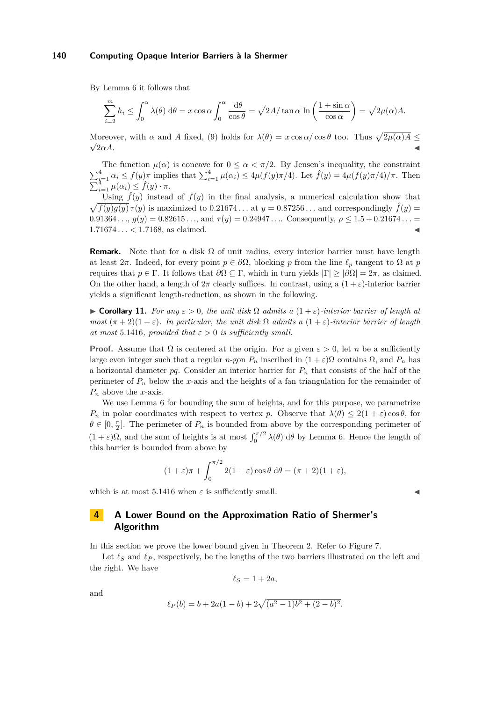By Lemma [6](#page-4-3) it follows that

$$
\sum_{i=2}^{m} h_i \le \int_0^{\alpha} \lambda(\theta) \, d\theta = x \cos \alpha \int_0^{\alpha} \frac{d\theta}{\cos \theta} = \sqrt{2A/\tan \alpha} \ln \left( \frac{1+\sin \alpha}{\cos \alpha} \right) = \sqrt{2\mu(\alpha)A}.
$$

Moreover, with *α* and *A* fixed, [\(9\)](#page-5-2) holds for  $\lambda(\theta) = x \cos \alpha / \cos \theta$  too. Thus  $\sqrt{2\mu(\alpha)A} \leq$  $2\alpha A$ .

The function  $\mu(\alpha)$  is concave for  $0 \leq \alpha < \pi/2$ . By Jensen's inequality, the constraint  $\sum_{i=1}^4 \alpha_i \le f(y)\pi$  implies that  $\sum_{i=1}^4 \mu(\alpha_i) \le 4\mu(f(y)\pi/4)$ . Let  $\hat{f}(y) = 4\mu(f(y)\pi/4)/\pi$ . Then  $\sum_{i=1}^{4} \mu(\alpha_i) \leq \hat{f}(y) \cdot \pi.$ 

Using  $\hat{f}(y)$  instead of  $f(y)$  in the final analysis, a numerical calculation show that  $\sqrt{f(y)g(y)} \tau(y)$  is maximized to 0.21674... at  $y = 0.87256...$  and correspondingly  $\hat{f}(y) =$  $0.91364...$ ,  $g(y) = 0.82615...,$  and  $\tau(y) = 0.24947...$  Consequently,  $\rho \le 1.5 + 0.21674...$ 1*.*71674 *. . . <* 1*.*7168, as claimed. J

**Remark.** Note that for a disk  $\Omega$  of unit radius, every interior barrier must have length at least  $2\pi$ . Indeed, for every point  $p \in \partial\Omega$ , blocking *p* from the line  $\ell_p$  tangent to  $\Omega$  at *p* requires that *p* ∈ Γ. It follows that *∂*Ω ⊆ Γ, which in turn yields |Γ| ≥ |*∂*Ω| = 2*π*, as claimed. On the other hand, a length of  $2\pi$  clearly suffices. In contrast, using a  $(1+\varepsilon)$ -interior barrier yields a significant length-reduction, as shown in the following.

<span id="page-12-1"></span> $\triangleright$  **Corollary 11.** *For any*  $ε > 0$ *, the unit disk*  $Ω$  *admits a*  $(1 + ε)$ *-interior barrier of length at most*  $(\pi + 2)(1 + \varepsilon)$ *. In particular, the unit disk*  $\Omega$  *admits a*  $(1 + \varepsilon)$ *-interior barrier of length at most* 5.1416*, provided that*  $\varepsilon > 0$  *is sufficiently small.* 

**Proof.** Assume that  $\Omega$  is centered at the origin. For a given  $\varepsilon > 0$ , let *n* be a sufficiently large even integer such that a regular *n*-gon  $P_n$  inscribed in  $(1 + \varepsilon)\Omega$  contains  $\Omega$ , and  $P_n$  has a horizontal diameter  $pq$ . Consider an interior barrier for  $P<sub>n</sub>$  that consists of the half of the perimeter of  $P_n$  below the *x*-axis and the heights of a fan triangulation for the remainder of *P<sup>n</sup>* above the *x*-axis.

We use Lemma [6](#page-4-3) for bounding the sum of heights, and for this purpose, we parametrize *P<sub>n</sub>* in polar coordinates with respect to vertex *p*. Observe that  $\lambda(\theta) \leq 2(1+\varepsilon)\cos\theta$ , for  $\theta \in [0, \frac{\pi}{2}]$ . The perimeter of  $P_n$  is bounded from above by the corresponding perimeter of  $(1+\varepsilon)\Omega$ , and the sum of heights is at most  $\int_0^{\pi/2} \lambda(\theta) d\theta$  by Lemma [6.](#page-4-3) Hence the length of this barrier is bounded from above by

$$
(1+\varepsilon)\pi + \int_0^{\pi/2} 2(1+\varepsilon)\cos\theta \,d\theta = (\pi+2)(1+\varepsilon),
$$

which is at most  $5.1416$  when  $\varepsilon$  is sufficiently small.

# <span id="page-12-0"></span>**4 A Lower Bound on the Approximation Ratio of Shermer's Algorithm**

In this section we prove the lower bound given in Theorem [2.](#page-3-3) Refer to Figure [7.](#page-13-0)

Let  $\ell_S$  and  $\ell_P$ , respectively, be the lengths of the two barriers illustrated on the left and the right. We have

$$
\ell_S = 1 + 2a,
$$

and

$$
\ell_P(b) = b + 2a(1 - b) + 2\sqrt{(a^2 - 1)b^2 + (2 - b)^2}.
$$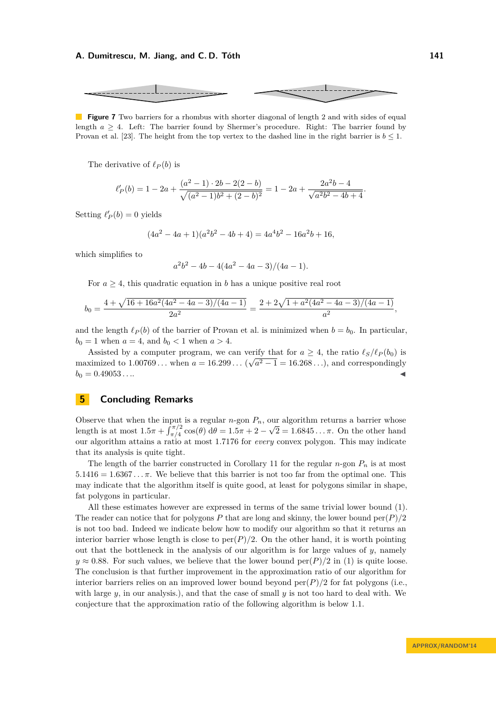<span id="page-13-0"></span>

**Figure 7** Two barriers for a rhombus with shorter diagonal of length 2 and with sides of equal length  $a \geq 4$ . Left: The barrier found by Shermer's procedure. Right: The barrier found by Provan et al. [\[23\]](#page-15-3). The height from the top vertex to the dashed line in the right barrier is  $b \leq 1$ .

The derivative of  $\ell_P(b)$  is

$$
\ell'_{P}(b) = 1 - 2a + \frac{(a^2 - 1) \cdot 2b - 2(2 - b)}{\sqrt{(a^2 - 1)b^2 + (2 - b)^2}} = 1 - 2a + \frac{2a^2b - 4}{\sqrt{a^2b^2 - 4b + 4}}.
$$

Setting  $\ell'_{P}(b) = 0$  yields

$$
(4a2 - 4a + 1)(a2b2 - 4b + 4) = 4a4b2 - 16a2b + 16,
$$

which simplifies to

$$
a^2b^2 - 4b - 4(4a^2 - 4a - 3)/(4a - 1).
$$

For  $a \geq 4$ , this quadratic equation in *b* has a unique positive real root

$$
b_0 = \frac{4 + \sqrt{16 + 16a^2(4a^2 - 4a - 3)/(4a - 1)}}{2a^2} = \frac{2 + 2\sqrt{1 + a^2(4a^2 - 4a - 3)/(4a - 1)}}{a^2}
$$

and the length  $\ell_P(b)$  of the barrier of Provan et al. is minimized when  $b = b_0$ . In particular,  $b_0 = 1$  when  $a = 4$ , and  $b_0 < 1$  when  $a > 4$ .

Assisted by a computer program, we can verify that for  $a \geq 4$ , the ratio  $\ell_S/\ell_P(b_0)$  is maximized to  $1.00769...$  when  $a = 16.299...$   $(\sqrt{a^2 - 1} = 16.268...)$ , and correspondingly  $b_0 = 0.49053...$ 

# **5 Concluding Remarks**

Observe that when the input is a regular *n*-gon  $P_n$ , our algorithm returns a barrier whose length is at most  $1.5\pi + \int_{\pi/4}^{\pi/2} \cos(\theta) d\theta = 1.5\pi + 2 - \sqrt{2} = 1.6845... \pi$ . On the other hand our algorithm attains a ratio at most 1*.*7176 for *every* convex polygon. This may indicate that its analysis is quite tight.

The length of the barrier constructed in Corollary [11](#page-12-1) for the regular  $n$ -gon  $P_n$  is at most  $5.1416 = 1.6367... \pi$ . We believe that this barrier is not too far from the optimal one. This may indicate that the algorithm itself is quite good, at least for polygons similar in shape, fat polygons in particular.

All these estimates however are expressed in terms of the same trivial lower bound [\(1\)](#page-1-1). The reader can notice that for polygons *P* that are long and skinny, the lower bound  $\text{per}(P)/2$ is not too bad. Indeed we indicate below how to modify our algorithm so that it returns an interior barrier whose length is close to  $per(P)/2$ . On the other hand, it is worth pointing out that the bottleneck in the analysis of our algorithm is for large values of *y*, namely  $y \approx 0.88$ . For such values, we believe that the lower bound per $(P)/2$  in [\(1\)](#page-1-1) is quite loose. The conclusion is that further improvement in the approximation ratio of our algorithm for interior barriers relies on an improved lower bound beyond  $\text{per}(P)/2$  for fat polygons (i.e., with large *y*, in our analysis.), and that the case of small *y* is not too hard to deal with. We conjecture that the approximation ratio of the following algorithm is below 1*.*1.

*,*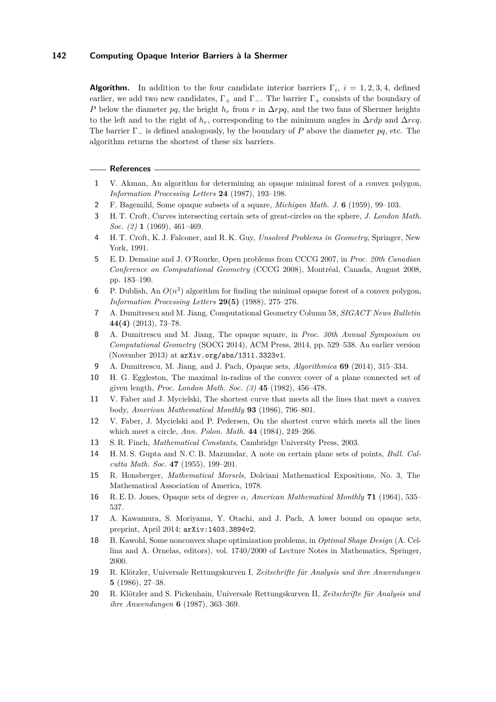**Algorithm.** In addition to the four candidate interior barriers  $\Gamma_i$ ,  $i = 1, 2, 3, 4$ , defined earlier, we add two new candidates,  $\Gamma_+$  and  $\Gamma_-$ . The barrier  $\Gamma_+$  consists of the boundary of *P* below the diameter *pq*, the height *h<sub>r</sub>* from *r* in ∆*rpq*, and the two fans of Shermer heights to the left and to the right of  $h_r$ , corresponding to the minimum angles in  $\Delta r dp$  and  $\Delta r cq$ . The barrier Γ<sup>−</sup> is defined analogously, by the boundary of *P* above the diameter *pq*, etc. The algorithm returns the shortest of these six barriers.

#### **References**

- <span id="page-14-18"></span>**1** V. Akman, An algorithm for determining an opaque minimal forest of a convex polygon, *Information Processing Letters* **24** (1987), 193–198.
- <span id="page-14-0"></span>**2** F. Bagemihl, Some opaque subsets of a square, *Michigan Math. J.* **6** (1959), 99–103.
- <span id="page-14-2"></span>**3** H. T. Croft, Curves intersecting certain sets of great-circles on the sphere, *J. London Math. Soc. (2)* **1** (1969), 461–469.
- <span id="page-14-3"></span>**4** H. T. Croft, K. J. Falconer, and R. K. Guy, *Unsolved Problems in Geometry*, Springer, New York, 1991.
- <span id="page-14-12"></span>**5** E. D. Demaine and J. O'Rourke, Open problems from CCCG 2007, in *Proc. 20th Canadian Conference on Computational Geometry* (CCCG 2008), Montréal, Canada, August 2008, pp. 183–190.
- <span id="page-14-19"></span>**6** P. Dublish, An  $O(n^3)$  algorithm for finding the minimal opaque forest of a convex polygon, *Information Processing Letters* **29(5)** (1988), 275–276.
- <span id="page-14-15"></span>**7** A. Dumitrescu and M. Jiang, Computational Geometry Column 58, *SIGACT News Bulletin* **44(4)** (2013), 73–78.
- <span id="page-14-10"></span>**8** A. Dumitrescu and M. Jiang, The opaque square, in *Proc. 30th Annual Symposium on Computational Geometry* (SOCG 2014), ACM Press, 2014, pp. 529–538. An earlier version (November 2013) at <arXiv.org/abs/1311.3323v1>.
- <span id="page-14-16"></span>**9** A. Dumitrescu, M. Jiang, and J. Pach, Opaque sets, *Algorithmica* **69** (2014), 315–334.
- <span id="page-14-4"></span>**10** H. G. Eggleston, The maximal in-radius of the convex cover of a plane connected set of given length, *Proc. London Math. Soc. (3)* **45** (1982), 456–478.
- <span id="page-14-5"></span>**11** V. Faber and J. Mycielski, The shortest curve that meets all the lines that meet a convex body, *American Mathematical Monthly* **93** (1986), 796–801.
- <span id="page-14-6"></span>**12** V. Faber, J. Mycielski and P. Pedersen, On the shortest curve which meets all the lines which meet a circle, *Ann. Polon. Math.* **44** (1984), 249–266.
- <span id="page-14-7"></span>**13** S. R. Finch, *Mathematical Constants*, Cambridge University Press, 2003.
- <span id="page-14-1"></span>**14** H. M. S. Gupta and N. C. B. Mazumdar, A note on certain plane sets of points, *Bull. Calcutta Math. Soc.* **47** (1955), 199–201.
- <span id="page-14-8"></span>**15** R. Honsberger, *Mathematical Morsels*, Dolciani Mathematical Expositions, No. 3, The Mathematical Association of America, 1978.
- <span id="page-14-9"></span>**16** R. E. D. Jones, Opaque sets of degree *α*, *American Mathematical Monthly* **71** (1964), 535– 537.
- <span id="page-14-11"></span>**17** A. Kawamura, S. Moriyama, Y. Otachi, and J. Pach, A lower bound on opaque sets, preprint, April 2014; <arXiv:1403.3894v2>.
- <span id="page-14-17"></span>**18** B. Kawohl, Some nonconvex shape optimization problems, in *Optimal Shape Design* (A. Cellina and A. Ornelas, editors), vol. 1740/2000 of Lecture Notes in Mathematics, Springer, 2000.
- <span id="page-14-13"></span>**19** R. Klötzler, Universale Rettungskurven I, *Zeitschrifte für Analysis und ihre Anwendungen* **5** (1986), 27–38.
- <span id="page-14-14"></span>**20** R. Klötzler and S. Pickenhain, Universale Rettungskurven II, *Zeitschrifte für Analysis und ihre Anwendungen* **6** (1987), 363–369.